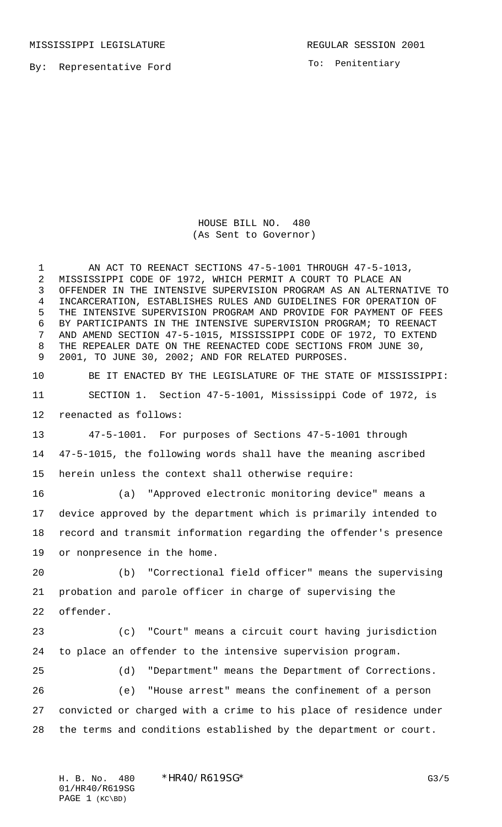MISSISSIPPI LEGISLATURE **REGULAR SESSION 2001** 

By: Representative Ford

To: Penitentiary

HOUSE BILL NO. 480 (As Sent to Governor)

1 AN ACT TO REENACT SECTIONS 47-5-1001 THROUGH 47-5-1013, MISSISSIPPI CODE OF 1972, WHICH PERMIT A COURT TO PLACE AN OFFENDER IN THE INTENSIVE SUPERVISION PROGRAM AS AN ALTERNATIVE TO INCARCERATION, ESTABLISHES RULES AND GUIDELINES FOR OPERATION OF THE INTENSIVE SUPERVISION PROGRAM AND PROVIDE FOR PAYMENT OF FEES BY PARTICIPANTS IN THE INTENSIVE SUPERVISION PROGRAM; TO REENACT AND AMEND SECTION 47-5-1015, MISSISSIPPI CODE OF 1972, TO EXTEND THE REPEALER DATE ON THE REENACTED CODE SECTIONS FROM JUNE 30, 2001, TO JUNE 30, 2002; AND FOR RELATED PURPOSES.

 BE IT ENACTED BY THE LEGISLATURE OF THE STATE OF MISSISSIPPI: SECTION 1. Section 47-5-1001, Mississippi Code of 1972, is reenacted as follows:

 47-5-1001. For purposes of Sections 47-5-1001 through 47-5-1015, the following words shall have the meaning ascribed herein unless the context shall otherwise require:

 (a) "Approved electronic monitoring device" means a device approved by the department which is primarily intended to record and transmit information regarding the offender's presence or nonpresence in the home.

 (b) "Correctional field officer" means the supervising probation and parole officer in charge of supervising the offender.

 (c) "Court" means a circuit court having jurisdiction to place an offender to the intensive supervision program.

 (d) "Department" means the Department of Corrections. (e) "House arrest" means the confinement of a person convicted or charged with a crime to his place of residence under the terms and conditions established by the department or court.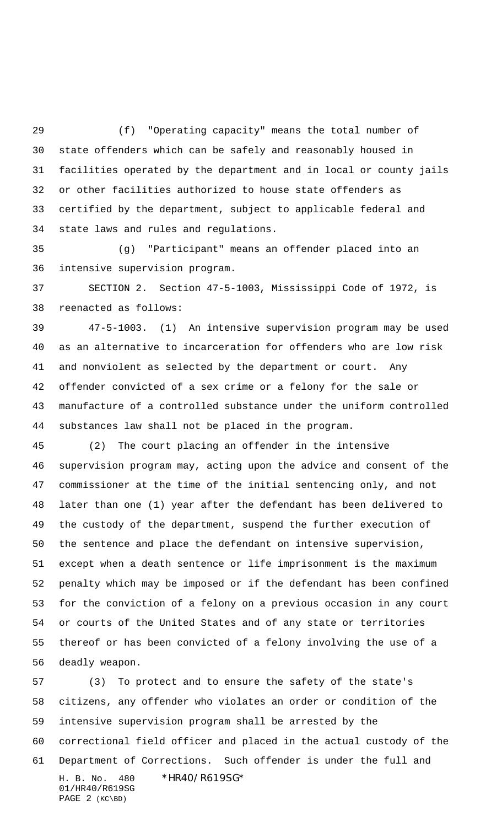(f) "Operating capacity" means the total number of state offenders which can be safely and reasonably housed in facilities operated by the department and in local or county jails or other facilities authorized to house state offenders as certified by the department, subject to applicable federal and state laws and rules and regulations.

 (g) "Participant" means an offender placed into an intensive supervision program.

 SECTION 2. Section 47-5-1003, Mississippi Code of 1972, is reenacted as follows:

 47-5-1003. (1) An intensive supervision program may be used as an alternative to incarceration for offenders who are low risk and nonviolent as selected by the department or court. Any offender convicted of a sex crime or a felony for the sale or manufacture of a controlled substance under the uniform controlled substances law shall not be placed in the program.

 (2) The court placing an offender in the intensive supervision program may, acting upon the advice and consent of the commissioner at the time of the initial sentencing only, and not later than one (1) year after the defendant has been delivered to the custody of the department, suspend the further execution of the sentence and place the defendant on intensive supervision, except when a death sentence or life imprisonment is the maximum penalty which may be imposed or if the defendant has been confined for the conviction of a felony on a previous occasion in any court or courts of the United States and of any state or territories thereof or has been convicted of a felony involving the use of a deadly weapon.

H. B. No. 480 \*HR40/R619SG\* 01/HR40/R619SG PAGE 2 (KC\BD) (3) To protect and to ensure the safety of the state's citizens, any offender who violates an order or condition of the intensive supervision program shall be arrested by the correctional field officer and placed in the actual custody of the Department of Corrections. Such offender is under the full and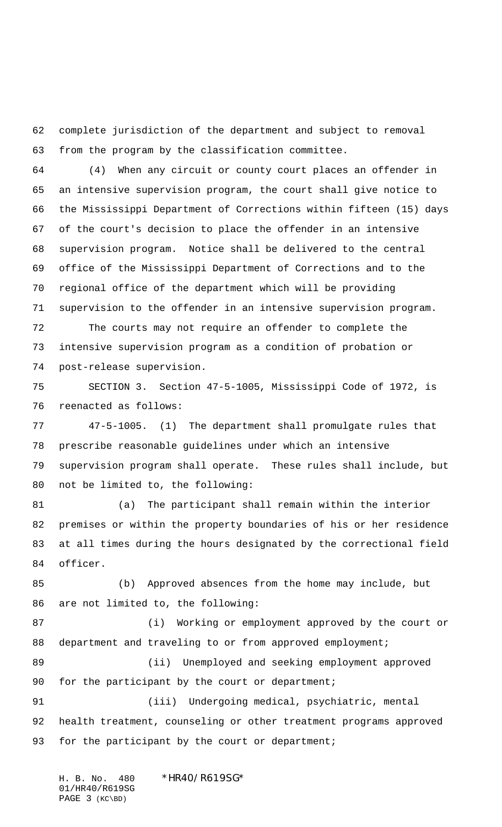complete jurisdiction of the department and subject to removal from the program by the classification committee.

 (4) When any circuit or county court places an offender in an intensive supervision program, the court shall give notice to the Mississippi Department of Corrections within fifteen (15) days of the court's decision to place the offender in an intensive supervision program. Notice shall be delivered to the central office of the Mississippi Department of Corrections and to the regional office of the department which will be providing supervision to the offender in an intensive supervision program.

 The courts may not require an offender to complete the intensive supervision program as a condition of probation or post-release supervision.

 SECTION 3. Section 47-5-1005, Mississippi Code of 1972, is reenacted as follows:

 47-5-1005. (1) The department shall promulgate rules that prescribe reasonable guidelines under which an intensive supervision program shall operate. These rules shall include, but not be limited to, the following:

 (a) The participant shall remain within the interior premises or within the property boundaries of his or her residence at all times during the hours designated by the correctional field officer.

 (b) Approved absences from the home may include, but are not limited to, the following:

 (i) Working or employment approved by the court or 88 department and traveling to or from approved employment;

89 (ii) Unemployed and seeking employment approved 90 for the participant by the court or department;

 (iii) Undergoing medical, psychiatric, mental health treatment, counseling or other treatment programs approved 93 for the participant by the court or department;

H. B. No. 480 \*HR40/R619SG\* 01/HR40/R619SG PAGE 3 (KC\BD)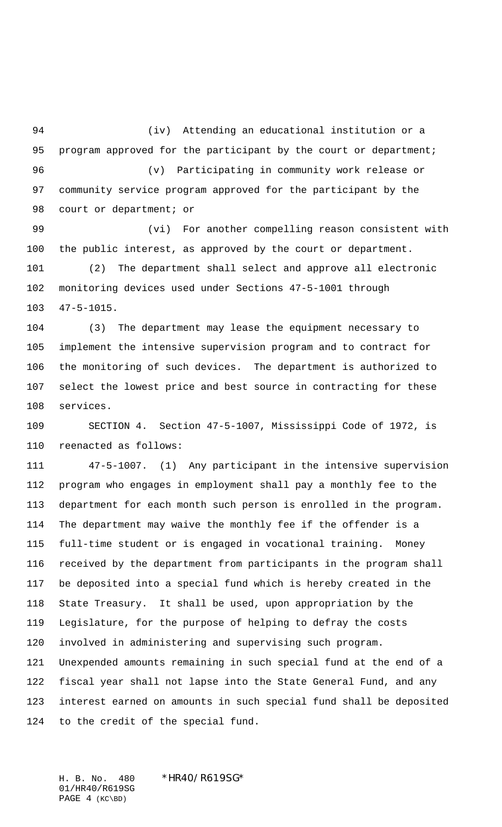(iv) Attending an educational institution or a 95 program approved for the participant by the court or department; (v) Participating in community work release or community service program approved for the participant by the 98 court or department; or

 (vi) For another compelling reason consistent with the public interest, as approved by the court or department.

 (2) The department shall select and approve all electronic monitoring devices used under Sections 47-5-1001 through 47-5-1015.

 (3) The department may lease the equipment necessary to implement the intensive supervision program and to contract for the monitoring of such devices. The department is authorized to select the lowest price and best source in contracting for these services.

 SECTION 4. Section 47-5-1007, Mississippi Code of 1972, is reenacted as follows:

 47-5-1007. (1) Any participant in the intensive supervision program who engages in employment shall pay a monthly fee to the department for each month such person is enrolled in the program. The department may waive the monthly fee if the offender is a full-time student or is engaged in vocational training. Money received by the department from participants in the program shall be deposited into a special fund which is hereby created in the State Treasury. It shall be used, upon appropriation by the Legislature, for the purpose of helping to defray the costs involved in administering and supervising such program. Unexpended amounts remaining in such special fund at the end of a fiscal year shall not lapse into the State General Fund, and any interest earned on amounts in such special fund shall be deposited to the credit of the special fund.

H. B. No. 480 \*HR40/R619SG\* 01/HR40/R619SG PAGE 4 (KC\BD)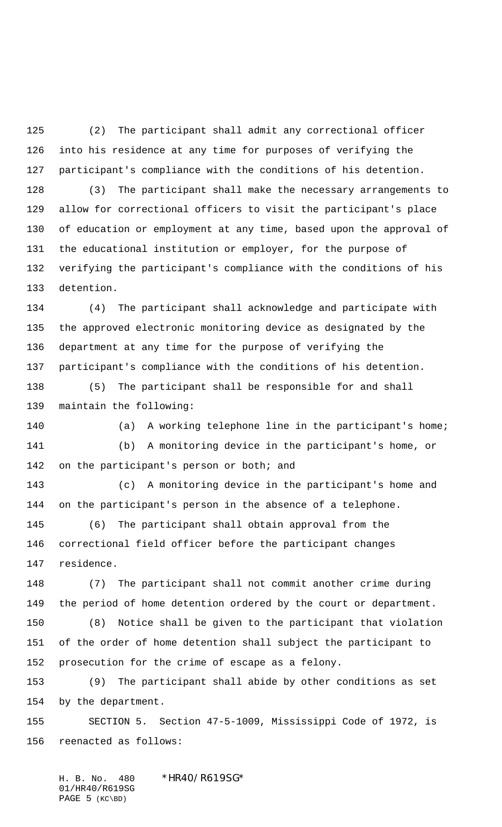(2) The participant shall admit any correctional officer into his residence at any time for purposes of verifying the participant's compliance with the conditions of his detention. (3) The participant shall make the necessary arrangements to allow for correctional officers to visit the participant's place of education or employment at any time, based upon the approval of the educational institution or employer, for the purpose of verifying the participant's compliance with the conditions of his

 (4) The participant shall acknowledge and participate with the approved electronic monitoring device as designated by the department at any time for the purpose of verifying the participant's compliance with the conditions of his detention.

detention.

 (5) The participant shall be responsible for and shall maintain the following:

 (a) A working telephone line in the participant's home; (b) A monitoring device in the participant's home, or 142 on the participant's person or both; and

 (c) A monitoring device in the participant's home and on the participant's person in the absence of a telephone.

 (6) The participant shall obtain approval from the correctional field officer before the participant changes residence.

 (7) The participant shall not commit another crime during the period of home detention ordered by the court or department.

 (8) Notice shall be given to the participant that violation of the order of home detention shall subject the participant to prosecution for the crime of escape as a felony.

 (9) The participant shall abide by other conditions as set by the department.

 SECTION 5. Section 47-5-1009, Mississippi Code of 1972, is reenacted as follows:

H. B. No. 480 \*HR40/R619SG\* 01/HR40/R619SG PAGE 5 (KC\BD)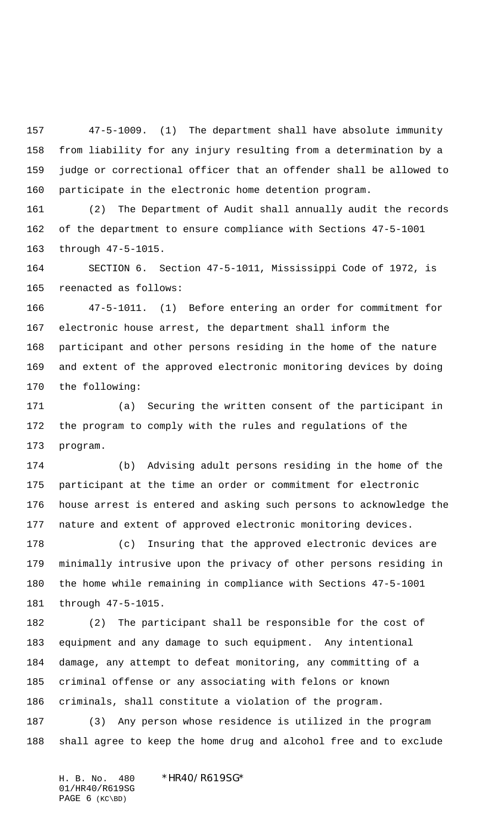47-5-1009. (1) The department shall have absolute immunity from liability for any injury resulting from a determination by a judge or correctional officer that an offender shall be allowed to participate in the electronic home detention program.

 (2) The Department of Audit shall annually audit the records of the department to ensure compliance with Sections 47-5-1001 through 47-5-1015.

 SECTION 6. Section 47-5-1011, Mississippi Code of 1972, is reenacted as follows:

 47-5-1011. (1) Before entering an order for commitment for electronic house arrest, the department shall inform the participant and other persons residing in the home of the nature and extent of the approved electronic monitoring devices by doing the following:

 (a) Securing the written consent of the participant in the program to comply with the rules and regulations of the program.

 (b) Advising adult persons residing in the home of the participant at the time an order or commitment for electronic house arrest is entered and asking such persons to acknowledge the nature and extent of approved electronic monitoring devices.

 (c) Insuring that the approved electronic devices are minimally intrusive upon the privacy of other persons residing in the home while remaining in compliance with Sections 47-5-1001 through 47-5-1015.

 (2) The participant shall be responsible for the cost of equipment and any damage to such equipment. Any intentional damage, any attempt to defeat monitoring, any committing of a criminal offense or any associating with felons or known criminals, shall constitute a violation of the program.

 (3) Any person whose residence is utilized in the program shall agree to keep the home drug and alcohol free and to exclude

H. B. No. 480 \*HR40/R619SG\* 01/HR40/R619SG PAGE (KC\BD)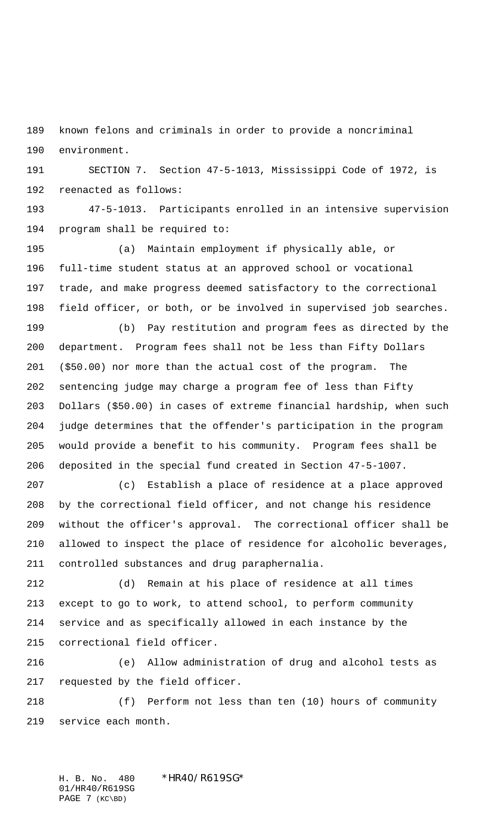known felons and criminals in order to provide a noncriminal environment.

 SECTION 7. Section 47-5-1013, Mississippi Code of 1972, is reenacted as follows:

 47-5-1013. Participants enrolled in an intensive supervision program shall be required to:

 (a) Maintain employment if physically able, or full-time student status at an approved school or vocational trade, and make progress deemed satisfactory to the correctional field officer, or both, or be involved in supervised job searches.

 (b) Pay restitution and program fees as directed by the department. Program fees shall not be less than Fifty Dollars (\$50.00) nor more than the actual cost of the program. The sentencing judge may charge a program fee of less than Fifty Dollars (\$50.00) in cases of extreme financial hardship, when such judge determines that the offender's participation in the program would provide a benefit to his community. Program fees shall be deposited in the special fund created in Section 47-5-1007.

 (c) Establish a place of residence at a place approved by the correctional field officer, and not change his residence without the officer's approval. The correctional officer shall be allowed to inspect the place of residence for alcoholic beverages, controlled substances and drug paraphernalia.

 (d) Remain at his place of residence at all times except to go to work, to attend school, to perform community service and as specifically allowed in each instance by the correctional field officer.

 (e) Allow administration of drug and alcohol tests as requested by the field officer.

 (f) Perform not less than ten (10) hours of community service each month.

H. B. No. 480 \*HR40/R619SG\* 01/HR40/R619SG PAGE 7 (KC\BD)